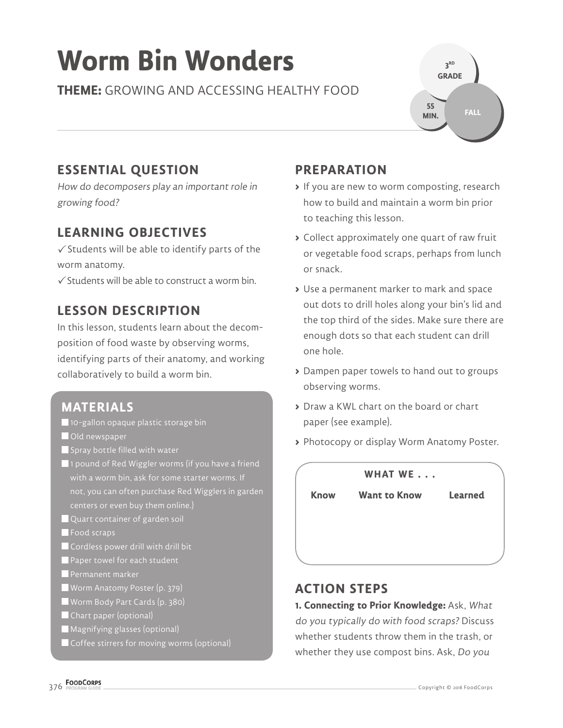# **Worm Bin Wonders**

**THEME:** GROWING AND ACCESSING HEALTHY FOOD

**3 RD GRADE FALL 55 MIN.**

## **ESSENTIAL QUESTION**

How do decomposers play an important role in growing food?

### **LEARNING OBJECTIVES**

 $\checkmark$  Students will be able to identify parts of the worm anatomy.

 $\checkmark$  Students will be able to construct a worm bin.

## **LESSON DESCRIPTION**

In this lesson, students learn about the decomposition of food waste by observing worms, identifying parts of their anatomy, and working collaboratively to build a worm bin.

#### **MATERIALS**

- 10-gallon opaque plastic storage bin
- **Old newspaper**
- $\blacksquare$  Spray bottle filled with water
- **1** pound of Red Wiggler worms (if you have a friend with a worm bin, ask for some starter worms. If not, you can often purchase Red Wigglers in garden
- Quart container of garden soil
- Food scraps
- Cordless power drill with drill bit
- Paper towel for each student
- **Permanent marker**
- Worm Anatomy Poster (p. 379)
- Worm Body Part Cards (p. 380)
- Chart paper (optional)
- Magnifying glasses (optional)
- Coffee stirrers for moving worms (optional)

## **PREPARATION**

- **>** If you are new to worm composting, research how to build and maintain a worm bin prior to teaching this lesson.
- **>** Collect approximately one quart of raw fruit or vegetable food scraps, perhaps from lunch or snack.
- **>** Use a permanent marker to mark and space out dots to drill holes along your bin's lid and the top third of the sides. Make sure there are enough dots so that each student can drill one hole.
- **>** Dampen paper towels to hand out to groups observing worms.
- **>** Draw a KWL chart on the board or chart paper (see example).
- **>** Photocopy or display Worm Anatomy Poster.



#### **ACTION STEPS**

**1. Connecting to Prior Knowledge:** Ask, What do you typically do with food scraps? Discuss whether students throw them in the trash, or whether they use compost bins. Ask, Do you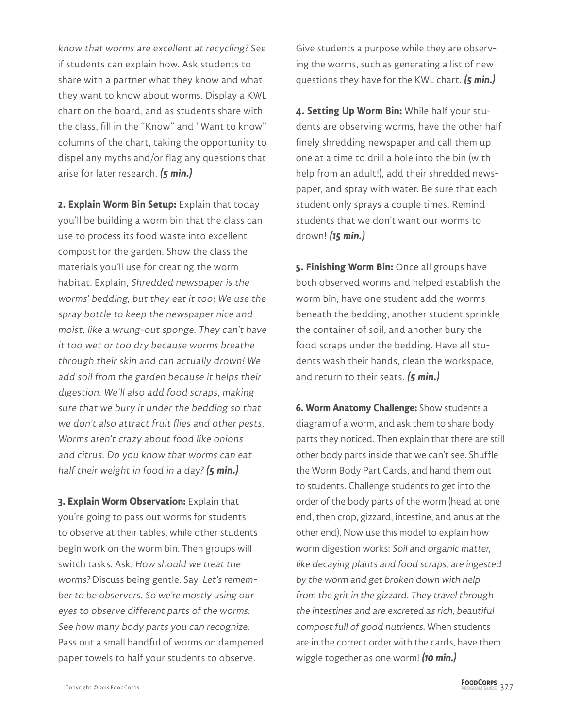know that worms are excellent at recycling? See if students can explain how. Ask students to share with a partner what they know and what they want to know about worms. Display a KWL chart on the board, and as students share with the class, fill in the "Know" and "Want to know" columns of the chart, taking the opportunity to dispel any myths and/or flag any questions that arise for later research. **(5 min.)**

**2. Explain Worm Bin Setup:** Explain that today you'll be building a worm bin that the class can use to process its food waste into excellent compost for the garden. Show the class the materials you'll use for creating the worm habitat. Explain, Shredded newspaper is the worms' bedding, but they eat it too! We use the spray bottle to keep the newspaper nice and moist, like a wrung-out sponge. They can't have it too wet or too dry because worms breathe through their skin and can actually drown! We add soil from the garden because it helps their digestion. We'll also add food scraps, making sure that we bury it under the bedding so that we don't also attract fruit flies and other pests. Worms aren't crazy about food like onions and citrus. Do you know that worms can eat half their weight in food in a day? **(5 min.)**

**3. Explain Worm Observation:** Explain that you're going to pass out worms for students to observe at their tables, while other students begin work on the worm bin. Then groups will switch tasks. Ask, How should we treat the worms? Discuss being gentle. Say, Let's remember to be observers. So we're mostly using our eyes to observe different parts of the worms. See how many body parts you can recognize. Pass out a small handful of worms on dampened paper towels to half your students to observe.

Give students a purpose while they are observing the worms, such as generating a list of new questions they have for the KWL chart. **(5 min.)**

**4. Setting Up Worm Bin:** While half your students are observing worms, have the other half finely shredding newspaper and call them up one at a time to drill a hole into the bin (with help from an adult!), add their shredded newspaper, and spray with water. Be sure that each student only sprays a couple times. Remind students that we don't want our worms to drown! **(15 min.)**

**5. Finishing Worm Bin:** Once all groups have both observed worms and helped establish the worm bin, have one student add the worms beneath the bedding, another student sprinkle the container of soil, and another bury the food scraps under the bedding. Have all students wash their hands, clean the workspace, and return to their seats. **(5 min.)**

**6. Worm Anatomy Challenge:** Show students a diagram of a worm, and ask them to share body parts they noticed. Then explain that there are still other body parts inside that we can't see. Shuffle the Worm Body Part Cards, and hand them out to students. Challenge students to get into the order of the body parts of the worm (head at one end, then crop, gizzard, intestine, and anus at the other end). Now use this model to explain how worm digestion works: Soil and organic matter, like decaying plants and food scraps, are ingested by the worm and get broken down with help from the grit in the gizzard. They travel through the intestines and are excreted as rich, beautiful compost full of good nutrients. When students are in the correct order with the cards, have them wiggle together as one worm! **(10 min.)**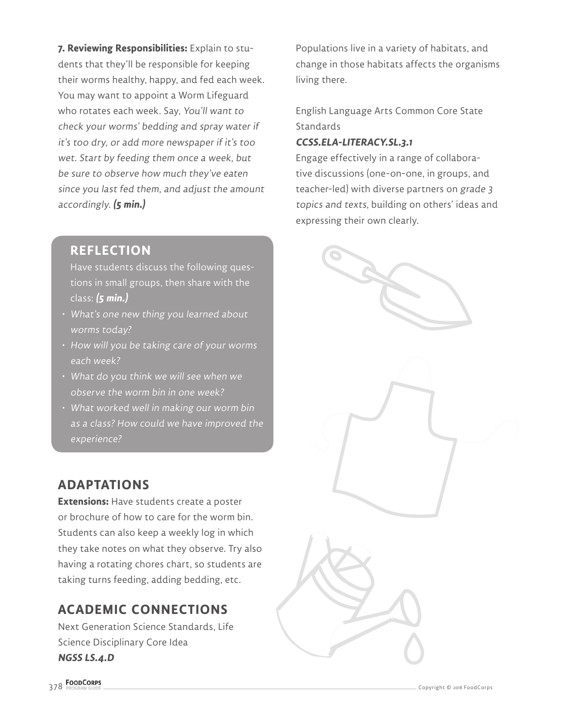**7. Reviewing Responsibilities:** Explain to students that they'll be responsible for keeping their worms healthy, happy, and fed each week. You may want to appoint a Worm Lifeguard who rotates each week. Say, You'll want to check your worms' bedding and spray water if it's too dry, or add more newspaper if it's too wet. Start by feeding them once a week, but be sure to observe how much they've eaten since you last fed them, and adjust the amount accordingly. **(5 min.)**

#### **REFLECTION**

Have students discuss the following questions in small groups, then share with the class: **(5 min.)**

- What's one new thing you learned about worms today?
- How will you be taking care of your worms each week?
- What do you think we will see when we observe the worm bin in one week?
- What worked well in making our worm bin as a class? How could we have improved the experience?

## **ADAPTATIONS**

**Extensions:** Have students create a poster or brochure of how to care for the worm bin. Students can also keep a weekly log in which they take notes on what they observe. Try also having a rotating chores chart, so students are taking turns feeding, adding bedding, etc.

## **ACADEMIC CONNECTIONS**

Next Generation Science Standards, Life Science Disciplinary Core Idea **NGSS LS.4.D**

Populations live in a variety of habitats, and change in those habitats affects the organisms living there.

English Language Arts Common Core State **Standards** 

#### **CCSS.ELA-LITERACY.SL.3.1**

Engage effectively in a range of collaborative discussions (one-on-one, in groups, and teacher-led) with diverse partners on grade 3 topics and texts, building on others' ideas and expressing their own clearly.

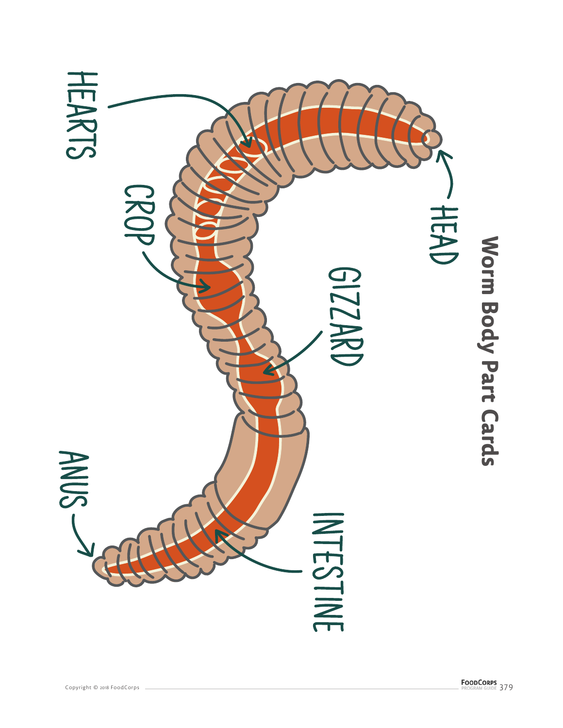